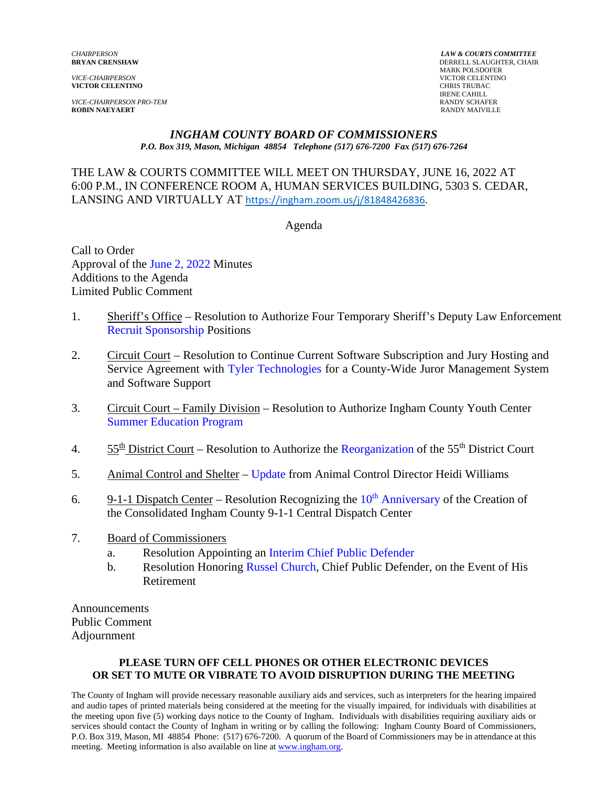*VICE-CHAIRPERSON* VICTOR CELENTINO **VICTOR CELENTINO** 

*VICE-CHAIRPERSON PRO-TEM* **RANDY SCHAFER ROBIN NAEYAERT RANDY SCHAFER ROBIN NAEYAERT ROBIN NAEYAERT** 

*CHAIRPERSON LAW & COURTS COMMITTEE* **BRYAN CRENSHAW** DERRELL SLAUGHTER, CHAIR MARK POLSDOFER<br>VICTOR CELENTINO IRENE CAHILL<br>RANDY SCHAFER

#### *INGHAM COUNTY BOARD OF COMMISSIONERS P.O. Box 319, Mason, Michigan 48854 Telephone (517) 676-7200 Fax (517) 676-7264*

THE LAW & COURTS COMMITTEE WILL MEET ON THURSDAY, JUNE 16, 2022 AT 6:00 P.M., IN CONFERENCE [ROOM A, HUMAN SERVICES BUILDING, 5303 S. CE](https://ingham.zoom.us/j/81848426836)DAR, LANSING AND VIRTUALLY AT https://ingham.zoom.us/j/81848426836.

#### Agenda

Call to Order Approval of [the June 2, 2022 Minutes](#page-1-0)  Additions to the Agenda Limited Public Comment

- 1. Sheriff's Office Resolution to Authorize Four Temporary Sheriff's Deputy Law Enforcement [Recruit Sponsorship Positions](#page-8-0)
- 2. Circuit Court Resolution to Continue Current Software Subscription and Jury Hosting and Service Agreement with [Tyler Technologies for a County-Wid](#page-11-0)e Juror Management System and Software Support
- 3. Circuit Court Family Division Resolution to Authorize Ingham County Youth Center [Summer Education Program](#page-15-0)
- 4.  $55<sup>th</sup>$  District Court Resolution to Authorize t[he Reorganization](#page-17-0) of the 55<sup>th</sup> District Court
- 5. Animal Control and Shelter [Update](#page-25-0) from Animal Control Director Heidi Williams
- 6. 9-1-1 Dispatch Center Resolution Recognizing the  $10<sup>th</sup>$  [Anniversary of the Creation o](#page-26-0)f the Consolidated Ingham County 9-1-1 Central Dispatch Center
- 7. Board of Commissioners
	- a. Resolution Appointing [an Interim Chief Public Defender](#page-28-0)
	- b. Resolution Ho[noring Russel Church, Chief](#page-29-0) Public Defender, on the Event of His Retirement

Announcements Public Comment Adjournment

#### **PLEASE TURN OFF CELL PHONES OR OTHER ELECTRONIC DEVICES OR SET TO MUTE OR VIBRATE TO AVOID DISRUPTION DURING THE MEETING**

The County of Ingham will provide necessary reasonable auxiliary aids and services, such as interpreters for the hearing impaired and audio tapes of printed materials being considered at the meeting for the visually impaired, for individuals with disabilities at the meeting upon five (5) working days notice to the County of Ingham. Individuals with disabilities requiring auxiliary aids or services should contact the County of Ingham in writing or by calling the following: Ingham County Board of Commissioners, P.O. Box 319, Mason, MI 48854 Phone: (517) 676-7200. A quorum of the Board of Commissioners may be in attendance at this meeting. Meeting information is also available on line at www.ingham.org.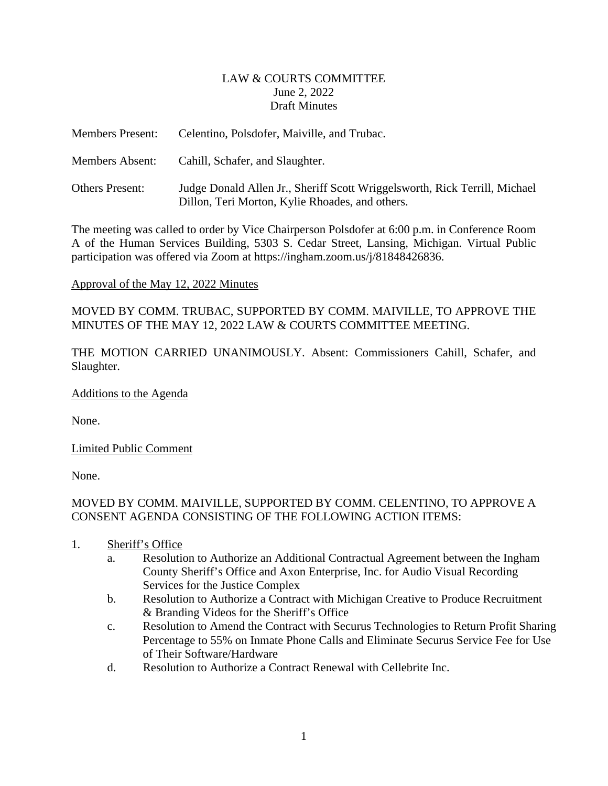#### LAW & COURTS COMMITTEE June 2, 2022 Draft Minutes

<span id="page-1-0"></span>

| <b>Members Present:</b> | Celentino, Polsdofer, Maiville, and Trubac.                                                                                   |
|-------------------------|-------------------------------------------------------------------------------------------------------------------------------|
| <b>Members Absent:</b>  | Cahill, Schafer, and Slaughter.                                                                                               |
| <b>Others Present:</b>  | Judge Donald Allen Jr., Sheriff Scott Wriggelsworth, Rick Terrill, Michael<br>Dillon, Teri Morton, Kylie Rhoades, and others. |

The meeting was called to order by Vice Chairperson Polsdofer at 6:00 p.m. in Conference Room A of the Human Services Building, 5303 S. Cedar Street, Lansing, Michigan. Virtual Public participation was offered via Zoom at https://ingham.zoom.us/j/81848426836.

#### Approval of the May 12, 2022 Minutes

MOVED BY COMM. TRUBAC, SUPPORTED BY COMM. MAIVILLE, TO APPROVE THE MINUTES OF THE MAY 12, 2022 LAW & COURTS COMMITTEE MEETING.

THE MOTION CARRIED UNANIMOUSLY. Absent: Commissioners Cahill, Schafer, and Slaughter.

Additions to the Agenda

None.

Limited Public Comment

None.

# MOVED BY COMM. MAIVILLE, SUPPORTED BY COMM. CELENTINO, TO APPROVE A CONSENT AGENDA CONSISTING OF THE FOLLOWING ACTION ITEMS:

- 1. Sheriff's Office
	- a. Resolution to Authorize an Additional Contractual Agreement between the Ingham County Sheriff's Office and Axon Enterprise, Inc. for Audio Visual Recording Services for the Justice Complex
	- b. Resolution to Authorize a Contract with Michigan Creative to Produce Recruitment & Branding Videos for the Sheriff's Office
	- c. Resolution to Amend the Contract with Securus Technologies to Return Profit Sharing Percentage to 55% on Inmate Phone Calls and Eliminate Securus Service Fee for Use of Their Software/Hardware
	- d. Resolution to Authorize a Contract Renewal with Cellebrite Inc.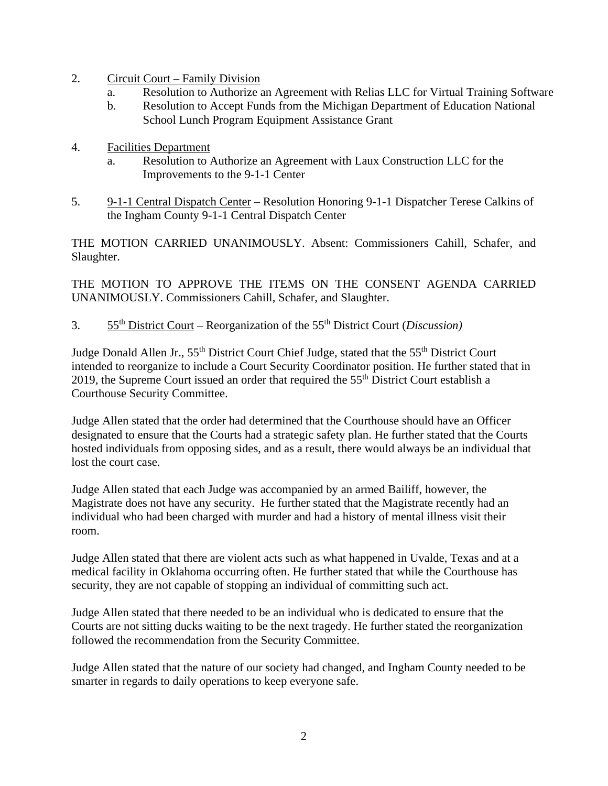- 2. Circuit Court Family Division
	- a. Resolution to Authorize an Agreement with Relias LLC for Virtual Training Software
	- b. Resolution to Accept Funds from the Michigan Department of Education National School Lunch Program Equipment Assistance Grant
- 4. Facilities Department
	- a. Resolution to Authorize an Agreement with Laux Construction LLC for the Improvements to the 9-1-1 Center
- 5. 9-1-1 Central Dispatch Center Resolution Honoring 9-1-1 Dispatcher Terese Calkins of the Ingham County 9-1-1 Central Dispatch Center

THE MOTION CARRIED UNANIMOUSLY. Absent: Commissioners Cahill, Schafer, and Slaughter.

THE MOTION TO APPROVE THE ITEMS ON THE CONSENT AGENDA CARRIED UNANIMOUSLY. Commissioners Cahill, Schafer, and Slaughter.

3. 55th District Court – Reorganization of the 55th District Court (*Discussion)* 

Judge Donald Allen Jr., 55<sup>th</sup> District Court Chief Judge, stated that the 55<sup>th</sup> District Court intended to reorganize to include a Court Security Coordinator position. He further stated that in 2019, the Supreme Court issued an order that required the 55<sup>th</sup> District Court establish a Courthouse Security Committee.

Judge Allen stated that the order had determined that the Courthouse should have an Officer designated to ensure that the Courts had a strategic safety plan. He further stated that the Courts hosted individuals from opposing sides, and as a result, there would always be an individual that lost the court case.

Judge Allen stated that each Judge was accompanied by an armed Bailiff, however, the Magistrate does not have any security. He further stated that the Magistrate recently had an individual who had been charged with murder and had a history of mental illness visit their room.

Judge Allen stated that there are violent acts such as what happened in Uvalde, Texas and at a medical facility in Oklahoma occurring often. He further stated that while the Courthouse has security, they are not capable of stopping an individual of committing such act.

Judge Allen stated that there needed to be an individual who is dedicated to ensure that the Courts are not sitting ducks waiting to be the next tragedy. He further stated the reorganization followed the recommendation from the Security Committee.

Judge Allen stated that the nature of our society had changed, and Ingham County needed to be smarter in regards to daily operations to keep everyone safe.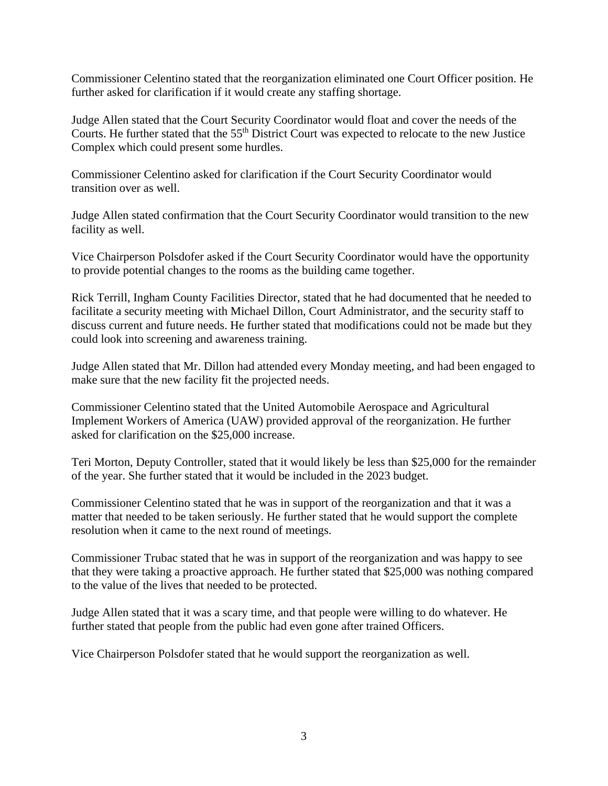Commissioner Celentino stated that the reorganization eliminated one Court Officer position. He further asked for clarification if it would create any staffing shortage.

Judge Allen stated that the Court Security Coordinator would float and cover the needs of the Courts. He further stated that the 55th District Court was expected to relocate to the new Justice Complex which could present some hurdles.

Commissioner Celentino asked for clarification if the Court Security Coordinator would transition over as well.

Judge Allen stated confirmation that the Court Security Coordinator would transition to the new facility as well.

Vice Chairperson Polsdofer asked if the Court Security Coordinator would have the opportunity to provide potential changes to the rooms as the building came together.

Rick Terrill, Ingham County Facilities Director, stated that he had documented that he needed to facilitate a security meeting with Michael Dillon, Court Administrator, and the security staff to discuss current and future needs. He further stated that modifications could not be made but they could look into screening and awareness training.

Judge Allen stated that Mr. Dillon had attended every Monday meeting, and had been engaged to make sure that the new facility fit the projected needs.

Commissioner Celentino stated that the United Automobile Aerospace and Agricultural Implement Workers of America (UAW) provided approval of the reorganization. He further asked for clarification on the \$25,000 increase.

Teri Morton, Deputy Controller, stated that it would likely be less than \$25,000 for the remainder of the year. She further stated that it would be included in the 2023 budget.

Commissioner Celentino stated that he was in support of the reorganization and that it was a matter that needed to be taken seriously. He further stated that he would support the complete resolution when it came to the next round of meetings.

Commissioner Trubac stated that he was in support of the reorganization and was happy to see that they were taking a proactive approach. He further stated that \$25,000 was nothing compared to the value of the lives that needed to be protected.

Judge Allen stated that it was a scary time, and that people were willing to do whatever. He further stated that people from the public had even gone after trained Officers.

Vice Chairperson Polsdofer stated that he would support the reorganization as well.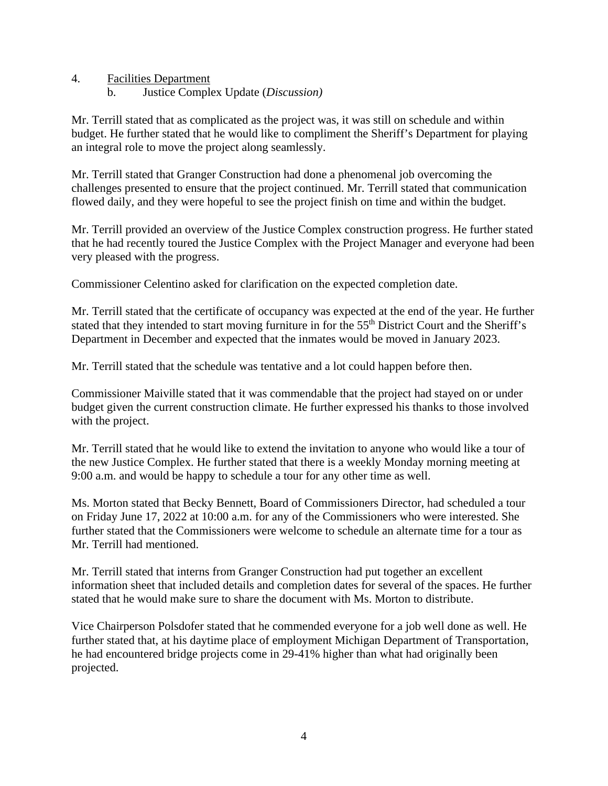- 4. Facilities Department
	- b. Justice Complex Update (*Discussion)*

Mr. Terrill stated that as complicated as the project was, it was still on schedule and within budget. He further stated that he would like to compliment the Sheriff's Department for playing an integral role to move the project along seamlessly.

Mr. Terrill stated that Granger Construction had done a phenomenal job overcoming the challenges presented to ensure that the project continued. Mr. Terrill stated that communication flowed daily, and they were hopeful to see the project finish on time and within the budget.

Mr. Terrill provided an overview of the Justice Complex construction progress. He further stated that he had recently toured the Justice Complex with the Project Manager and everyone had been very pleased with the progress.

Commissioner Celentino asked for clarification on the expected completion date.

Mr. Terrill stated that the certificate of occupancy was expected at the end of the year. He further stated that they intended to start moving furniture in for the 55<sup>th</sup> District Court and the Sheriff's Department in December and expected that the inmates would be moved in January 2023.

Mr. Terrill stated that the schedule was tentative and a lot could happen before then.

Commissioner Maiville stated that it was commendable that the project had stayed on or under budget given the current construction climate. He further expressed his thanks to those involved with the project.

Mr. Terrill stated that he would like to extend the invitation to anyone who would like a tour of the new Justice Complex. He further stated that there is a weekly Monday morning meeting at 9:00 a.m. and would be happy to schedule a tour for any other time as well.

Ms. Morton stated that Becky Bennett, Board of Commissioners Director, had scheduled a tour on Friday June 17, 2022 at 10:00 a.m. for any of the Commissioners who were interested. She further stated that the Commissioners were welcome to schedule an alternate time for a tour as Mr. Terrill had mentioned.

Mr. Terrill stated that interns from Granger Construction had put together an excellent information sheet that included details and completion dates for several of the spaces. He further stated that he would make sure to share the document with Ms. Morton to distribute.

Vice Chairperson Polsdofer stated that he commended everyone for a job well done as well. He further stated that, at his daytime place of employment Michigan Department of Transportation, he had encountered bridge projects come in 29-41% higher than what had originally been projected.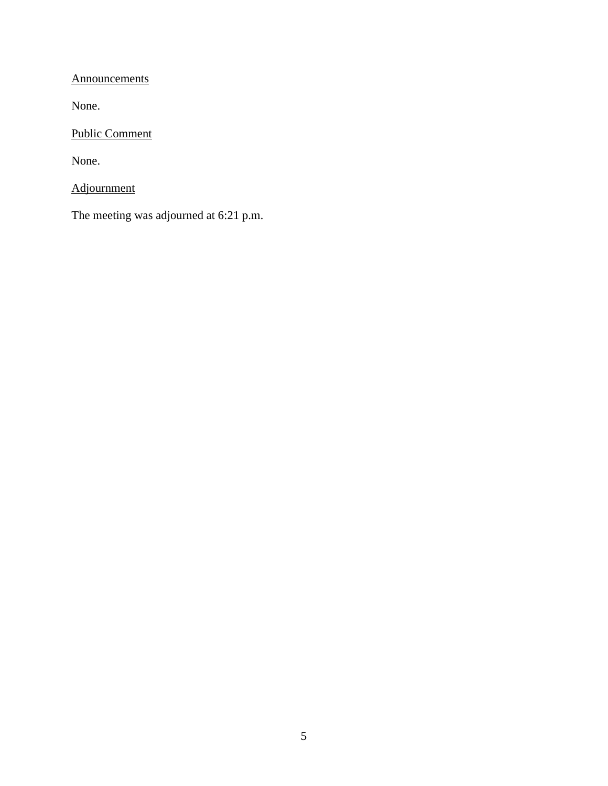**Announcements** 

None.

Public Comment

None.

Adjournment

The meeting was adjourned at 6:21 p.m.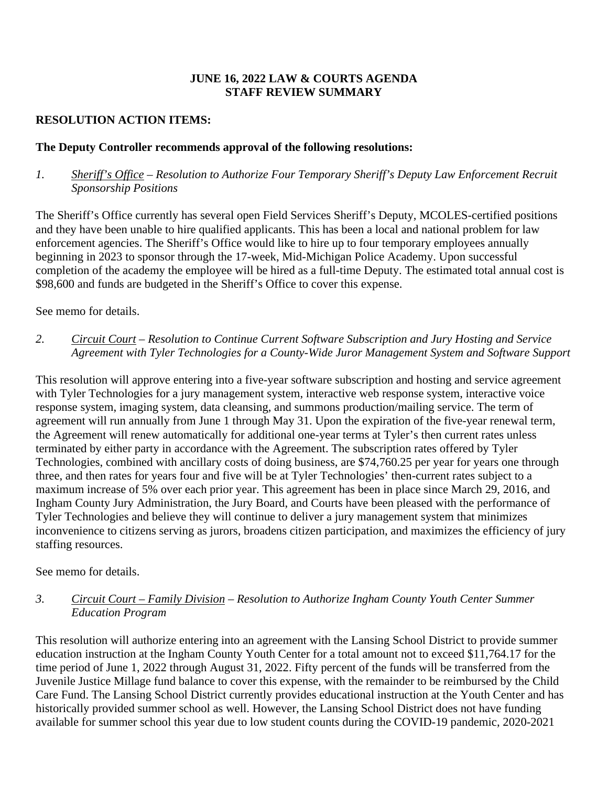#### **JUNE 16, 2022 LAW & COURTS AGENDA STAFF REVIEW SUMMARY**

# **RESOLUTION ACTION ITEMS:**

#### **The Deputy Controller recommends approval of the following resolutions:**

#### *1. Sheriff's Office – Resolution to Authorize Four Temporary Sheriff's Deputy Law Enforcement Recruit Sponsorship Positions*

The Sheriff's Office currently has several open Field Services Sheriff's Deputy, MCOLES-certified positions and they have been unable to hire qualified applicants. This has been a local and national problem for law enforcement agencies. The Sheriff's Office would like to hire up to four temporary employees annually beginning in 2023 to sponsor through the 17-week, Mid-Michigan Police Academy. Upon successful completion of the academy the employee will be hired as a full-time Deputy. The estimated total annual cost is \$98,600 and funds are budgeted in the Sheriff's Office to cover this expense.

See memo for details.

#### *2. Circuit Court* – *Resolution to Continue Current Software Subscription and Jury Hosting and Service Agreement with Tyler Technologies for a County-Wide Juror Management System and Software Support*

This resolution will approve entering into a five-year software subscription and hosting and service agreement with Tyler Technologies for a jury management system, interactive web response system, interactive voice response system, imaging system, data cleansing, and summons production/mailing service. The term of agreement will run annually from June 1 through May 31. Upon the expiration of the five-year renewal term, the Agreement will renew automatically for additional one-year terms at Tyler's then current rates unless terminated by either party in accordance with the Agreement. The subscription rates offered by Tyler Technologies, combined with ancillary costs of doing business, are \$74,760.25 per year for years one through three, and then rates for years four and five will be at Tyler Technologies' then-current rates subject to a maximum increase of 5% over each prior year. This agreement has been in place since March 29, 2016, and Ingham County Jury Administration, the Jury Board, and Courts have been pleased with the performance of Tyler Technologies and believe they will continue to deliver a jury management system that minimizes inconvenience to citizens serving as jurors, broadens citizen participation, and maximizes the efficiency of jury staffing resources.

See memo for details.

#### *3. Circuit Court – Family Division* – *Resolution to Authorize Ingham County Youth Center Summer Education Program*

This resolution will authorize entering into an agreement with the Lansing School District to provide summer education instruction at the Ingham County Youth Center for a total amount not to exceed \$11,764.17 for the time period of June 1, 2022 through August 31, 2022. Fifty percent of the funds will be transferred from the Juvenile Justice Millage fund balance to cover this expense, with the remainder to be reimbursed by the Child Care Fund. The Lansing School District currently provides educational instruction at the Youth Center and has historically provided summer school as well. However, the Lansing School District does not have funding available for summer school this year due to low student counts during the COVID-19 pandemic, 2020-2021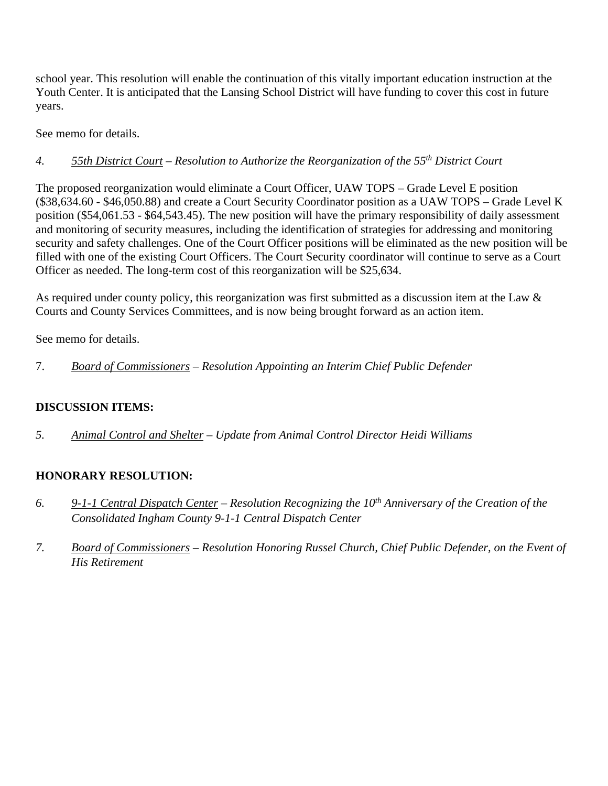school year. This resolution will enable the continuation of this vitally important education instruction at the Youth Center. It is anticipated that the Lansing School District will have funding to cover this cost in future years.

See memo for details.

# *4. 55th District Court – Resolution to Authorize the Reorganization of the 55th District Court*

The proposed reorganization would eliminate a Court Officer, UAW TOPS – Grade Level E position (\$38,634.60 - \$46,050.88) and create a Court Security Coordinator position as a UAW TOPS – Grade Level K position (\$54,061.53 - \$64,543.45). The new position will have the primary responsibility of daily assessment and monitoring of security measures, including the identification of strategies for addressing and monitoring security and safety challenges. One of the Court Officer positions will be eliminated as the new position will be filled with one of the existing Court Officers. The Court Security coordinator will continue to serve as a Court Officer as needed. The long-term cost of this reorganization will be \$25,634.

As required under county policy, this reorganization was first submitted as a discussion item at the Law & Courts and County Services Committees, and is now being brought forward as an action item.

See memo for details.

7. *Board of Commissioners – Resolution Appointing an Interim Chief Public Defender*

# **DISCUSSION ITEMS:**

*5. Animal Control and Shelter* – *Update from Animal Control Director Heidi Williams* 

# **HONORARY RESOLUTION:**

- *6. 9-1-1 Central Dispatch Center Resolution Recognizing the 10th Anniversary of the Creation of the Consolidated Ingham County 9-1-1 Central Dispatch Center*
- *7. Board of Commissioners Resolution Honoring Russel Church, Chief Public Defender, on the Event of His Retirement*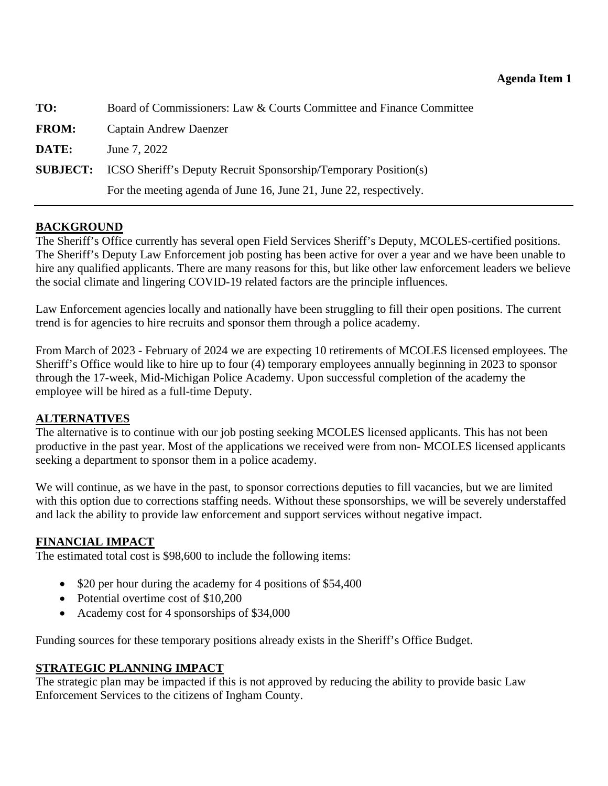<span id="page-8-0"></span>

| TO:          | Board of Commissioners: Law & Courts Committee and Finance Committee            |
|--------------|---------------------------------------------------------------------------------|
| <b>FROM:</b> | Captain Andrew Daenzer                                                          |
| DATE:        | June 7, 2022                                                                    |
|              | <b>SUBJECT:</b> ICSO Sheriff's Deputy Recruit Sponsorship/Temporary Position(s) |
|              | For the meeting agenda of June 16, June 21, June 22, respectively.              |

# **BACKGROUND**

The Sheriff's Office currently has several open Field Services Sheriff's Deputy, MCOLES-certified positions. The Sheriff's Deputy Law Enforcement job posting has been active for over a year and we have been unable to hire any qualified applicants. There are many reasons for this, but like other law enforcement leaders we believe the social climate and lingering COVID-19 related factors are the principle influences.

Law Enforcement agencies locally and nationally have been struggling to fill their open positions. The current trend is for agencies to hire recruits and sponsor them through a police academy.

From March of 2023 - February of 2024 we are expecting 10 retirements of MCOLES licensed employees. The Sheriff's Office would like to hire up to four (4) temporary employees annually beginning in 2023 to sponsor through the 17-week, Mid-Michigan Police Academy. Upon successful completion of the academy the employee will be hired as a full-time Deputy.

#### **ALTERNATIVES**

The alternative is to continue with our job posting seeking MCOLES licensed applicants. This has not been productive in the past year. Most of the applications we received were from non- MCOLES licensed applicants seeking a department to sponsor them in a police academy.

We will continue, as we have in the past, to sponsor corrections deputies to fill vacancies, but we are limited with this option due to corrections staffing needs. Without these sponsorships, we will be severely understaffed and lack the ability to provide law enforcement and support services without negative impact.

#### **FINANCIAL IMPACT**

The estimated total cost is \$98,600 to include the following items:

- \$20 per hour during the academy for 4 positions of \$54,400
- Potential overtime cost of \$10,200
- Academy cost for 4 sponsorships of \$34,000

Funding sources for these temporary positions already exists in the Sheriff's Office Budget.

#### **STRATEGIC PLANNING IMPACT**

The strategic plan may be impacted if this is not approved by reducing the ability to provide basic Law Enforcement Services to the citizens of Ingham County.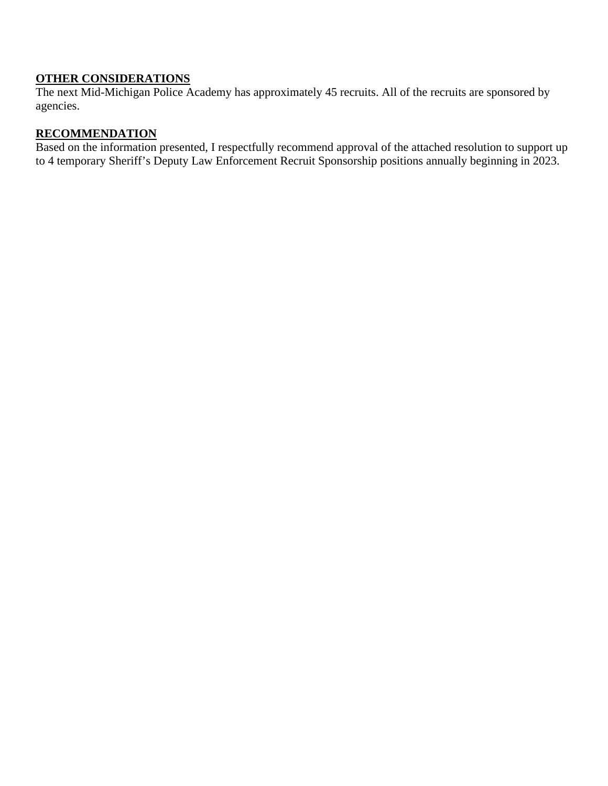# **OTHER CONSIDERATIONS**

The next Mid-Michigan Police Academy has approximately 45 recruits. All of the recruits are sponsored by agencies.

# **RECOMMENDATION**

Based on the information presented, I respectfully recommend approval of the attached resolution to support up to 4 temporary Sheriff's Deputy Law Enforcement Recruit Sponsorship positions annually beginning in 2023.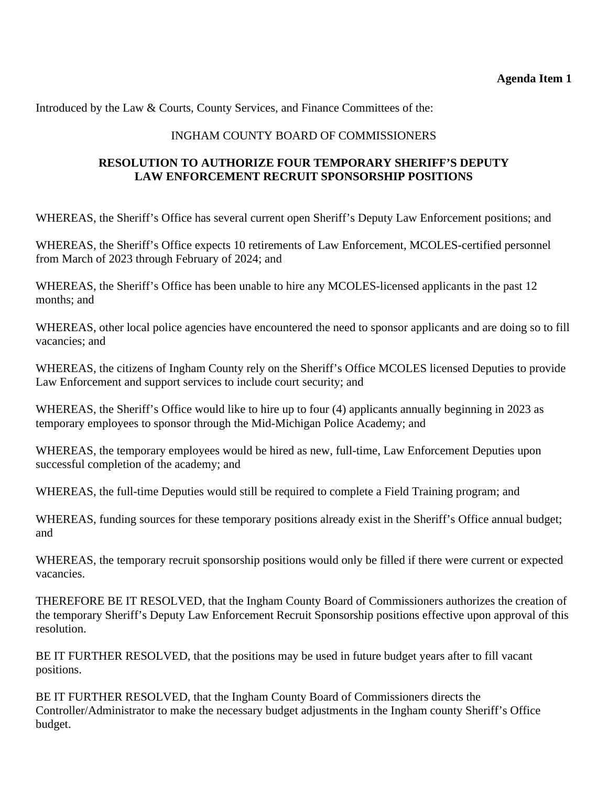Introduced by the Law & Courts, County Services, and Finance Committees of the:

#### INGHAM COUNTY BOARD OF COMMISSIONERS

## **RESOLUTION TO AUTHORIZE FOUR TEMPORARY SHERIFF'S DEPUTY LAW ENFORCEMENT RECRUIT SPONSORSHIP POSITIONS**

WHEREAS, the Sheriff's Office has several current open Sheriff's Deputy Law Enforcement positions; and

WHEREAS, the Sheriff's Office expects 10 retirements of Law Enforcement, MCOLES-certified personnel from March of 2023 through February of 2024; and

WHEREAS, the Sheriff's Office has been unable to hire any MCOLES-licensed applicants in the past 12 months; and

WHEREAS, other local police agencies have encountered the need to sponsor applicants and are doing so to fill vacancies; and

WHEREAS, the citizens of Ingham County rely on the Sheriff's Office MCOLES licensed Deputies to provide Law Enforcement and support services to include court security; and

WHEREAS, the Sheriff's Office would like to hire up to four (4) applicants annually beginning in 2023 as temporary employees to sponsor through the Mid-Michigan Police Academy; and

WHEREAS, the temporary employees would be hired as new, full-time, Law Enforcement Deputies upon successful completion of the academy; and

WHEREAS, the full-time Deputies would still be required to complete a Field Training program; and

WHEREAS, funding sources for these temporary positions already exist in the Sheriff's Office annual budget; and

WHEREAS, the temporary recruit sponsorship positions would only be filled if there were current or expected vacancies.

THEREFORE BE IT RESOLVED, that the Ingham County Board of Commissioners authorizes the creation of the temporary Sheriff's Deputy Law Enforcement Recruit Sponsorship positions effective upon approval of this resolution.

BE IT FURTHER RESOLVED, that the positions may be used in future budget years after to fill vacant positions.

BE IT FURTHER RESOLVED, that the Ingham County Board of Commissioners directs the Controller/Administrator to make the necessary budget adjustments in the Ingham county Sheriff's Office budget.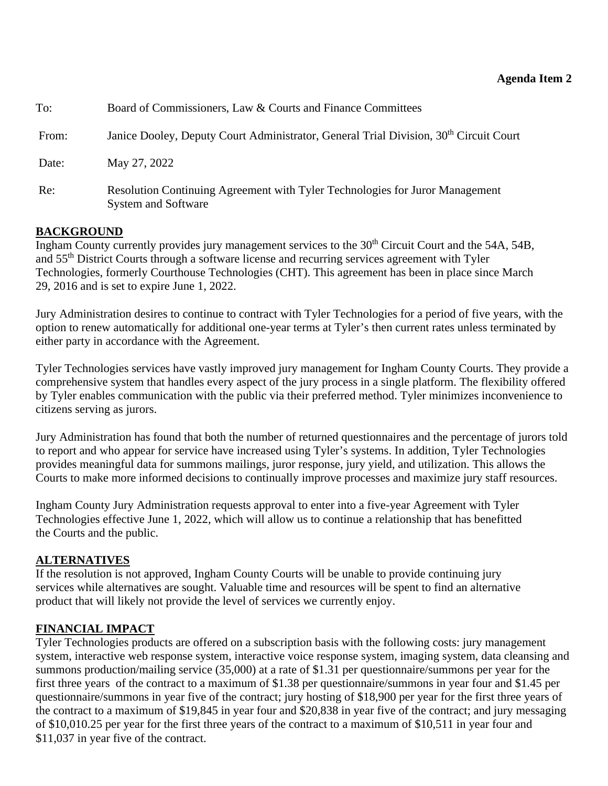#### **Agenda Item 2**

<span id="page-11-0"></span>

| To:   | Board of Commissioners, Law & Courts and Finance Committees                                                |
|-------|------------------------------------------------------------------------------------------------------------|
| From: | Janice Dooley, Deputy Court Administrator, General Trial Division, 30 <sup>th</sup> Circuit Court          |
| Date: | May 27, 2022                                                                                               |
| Re:   | Resolution Continuing Agreement with Tyler Technologies for Juror Management<br><b>System and Software</b> |

#### **BACKGROUND**

Ingham County currently provides jury management services to the 30<sup>th</sup> Circuit Court and the 54A, 54B, and 55<sup>th</sup> District Courts through a software license and recurring services agreement with Tyler Technologies, formerly Courthouse Technologies (CHT). This agreement has been in place since March 29, 2016 and is set to expire June 1, 2022.

Jury Administration desires to continue to contract with Tyler Technologies for a period of five years, with the option to renew automatically for additional one-year terms at Tyler's then current rates unless terminated by either party in accordance with the Agreement.

Tyler Technologies services have vastly improved jury management for Ingham County Courts. They provide a comprehensive system that handles every aspect of the jury process in a single platform. The flexibility offered by Tyler enables communication with the public via their preferred method. Tyler minimizes inconvenience to citizens serving as jurors.

Jury Administration has found that both the number of returned questionnaires and the percentage of jurors told to report and who appear for service have increased using Tyler's systems. In addition, Tyler Technologies provides meaningful data for summons mailings, juror response, jury yield, and utilization. This allows the Courts to make more informed decisions to continually improve processes and maximize jury staff resources.

Ingham County Jury Administration requests approval to enter into a five-year Agreement with Tyler Technologies effective June 1, 2022, which will allow us to continue a relationship that has benefitted the Courts and the public.

#### **ALTERNATIVES**

If the resolution is not approved, Ingham County Courts will be unable to provide continuing jury services while alternatives are sought. Valuable time and resources will be spent to find an alternative product that will likely not provide the level of services we currently enjoy.

#### **FINANCIAL IMPACT**

Tyler Technologies products are offered on a subscription basis with the following costs: jury management system, interactive web response system, interactive voice response system, imaging system, data cleansing and summons production/mailing service (35,000) at a rate of \$1.31 per questionnaire/summons per year for the first three years of the contract to a maximum of \$1.38 per questionnaire/summons in year four and \$1.45 per questionnaire/summons in year five of the contract; jury hosting of \$18,900 per year for the first three years of the contract to a maximum of \$19,845 in year four and \$20,838 in year five of the contract; and jury messaging of \$10,010.25 per year for the first three years of the contract to a maximum of \$10,511 in year four and \$11,037 in year five of the contract.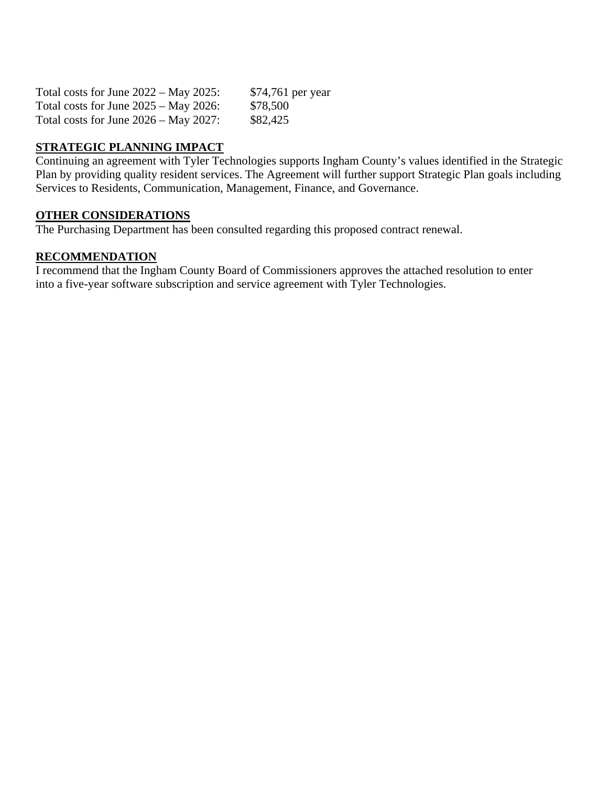| Total costs for June $2022 - May 2025$ : | \$74,761 per year |
|------------------------------------------|-------------------|
| Total costs for June $2025 - May 2026$ : | \$78,500          |
| Total costs for June $2026 - May 2027$ : | \$82,425          |

# **STRATEGIC PLANNING IMPACT**

Continuing an agreement with Tyler Technologies supports Ingham County's values identified in the Strategic Plan by providing quality resident services. The Agreement will further support Strategic Plan goals including Services to Residents, Communication, Management, Finance, and Governance.

#### **OTHER CONSIDERATIONS**

The Purchasing Department has been consulted regarding this proposed contract renewal.

#### **RECOMMENDATION**

I recommend that the Ingham County Board of Commissioners approves the attached resolution to enter into a five-year software subscription and service agreement with Tyler Technologies.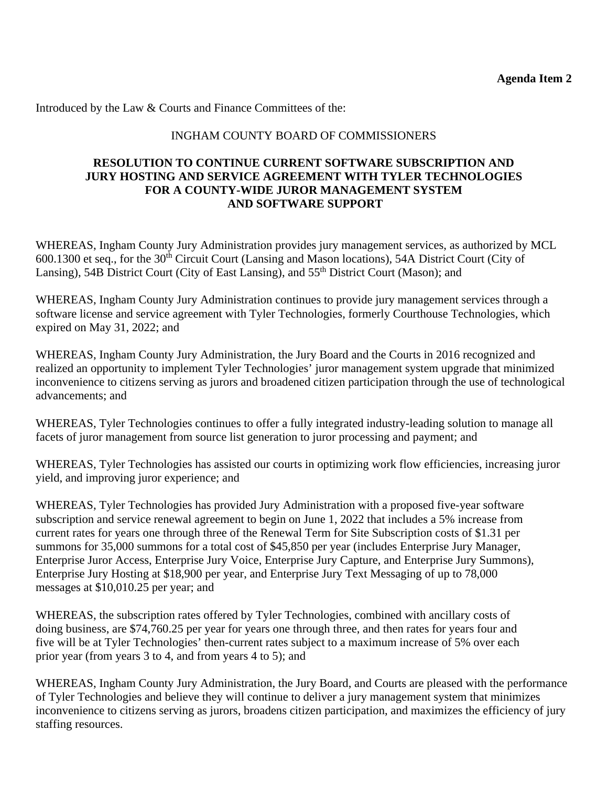Introduced by the Law & Courts and Finance Committees of the:

#### INGHAM COUNTY BOARD OF COMMISSIONERS

#### **RESOLUTION TO CONTINUE CURRENT SOFTWARE SUBSCRIPTION AND JURY HOSTING AND SERVICE AGREEMENT WITH TYLER TECHNOLOGIES FOR A COUNTY-WIDE JUROR MANAGEMENT SYSTEM AND SOFTWARE SUPPORT**

WHEREAS, Ingham County Jury Administration provides jury management services, as authorized by MCL 600.1300 et seq., for the 30<sup>th</sup> Circuit Court (Lansing and Mason locations), 54A District Court (City of Lansing), 54B District Court (City of East Lansing), and 55<sup>th</sup> District Court (Mason); and

WHEREAS, Ingham County Jury Administration continues to provide jury management services through a software license and service agreement with Tyler Technologies, formerly Courthouse Technologies, which expired on May 31, 2022; and

WHEREAS, Ingham County Jury Administration, the Jury Board and the Courts in 2016 recognized and realized an opportunity to implement Tyler Technologies' juror management system upgrade that minimized inconvenience to citizens serving as jurors and broadened citizen participation through the use of technological advancements; and

WHEREAS, Tyler Technologies continues to offer a fully integrated industry-leading solution to manage all facets of juror management from source list generation to juror processing and payment; and

WHEREAS, Tyler Technologies has assisted our courts in optimizing work flow efficiencies, increasing juror yield, and improving juror experience; and

WHEREAS, Tyler Technologies has provided Jury Administration with a proposed five-year software subscription and service renewal agreement to begin on June 1, 2022 that includes a 5% increase from current rates for years one through three of the Renewal Term for Site Subscription costs of \$1.31 per summons for 35,000 summons for a total cost of \$45,850 per year (includes Enterprise Jury Manager, Enterprise Juror Access, Enterprise Jury Voice, Enterprise Jury Capture, and Enterprise Jury Summons), Enterprise Jury Hosting at \$18,900 per year, and Enterprise Jury Text Messaging of up to 78,000 messages at \$10,010.25 per year; and

WHEREAS, the subscription rates offered by Tyler Technologies, combined with ancillary costs of doing business, are \$74,760.25 per year for years one through three, and then rates for years four and five will be at Tyler Technologies' then-current rates subject to a maximum increase of 5% over each prior year (from years 3 to 4, and from years 4 to 5); and

WHEREAS, Ingham County Jury Administration, the Jury Board, and Courts are pleased with the performance of Tyler Technologies and believe they will continue to deliver a jury management system that minimizes inconvenience to citizens serving as jurors, broadens citizen participation, and maximizes the efficiency of jury staffing resources.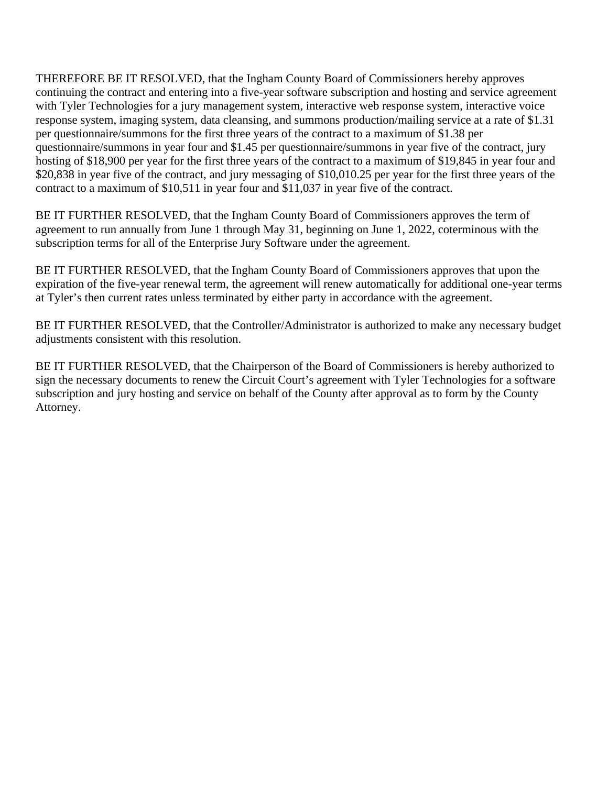THEREFORE BE IT RESOLVED, that the Ingham County Board of Commissioners hereby approves continuing the contract and entering into a five-year software subscription and hosting and service agreement with Tyler Technologies for a jury management system, interactive web response system, interactive voice response system, imaging system, data cleansing, and summons production/mailing service at a rate of \$1.31 per questionnaire/summons for the first three years of the contract to a maximum of \$1.38 per questionnaire/summons in year four and \$1.45 per questionnaire/summons in year five of the contract, jury hosting of \$18,900 per year for the first three years of the contract to a maximum of \$19,845 in year four and \$20,838 in year five of the contract, and jury messaging of \$10,010.25 per year for the first three years of the contract to a maximum of \$10,511 in year four and \$11,037 in year five of the contract.

BE IT FURTHER RESOLVED, that the Ingham County Board of Commissioners approves the term of agreement to run annually from June 1 through May 31, beginning on June 1, 2022, coterminous with the subscription terms for all of the Enterprise Jury Software under the agreement.

BE IT FURTHER RESOLVED, that the Ingham County Board of Commissioners approves that upon the expiration of the five-year renewal term, the agreement will renew automatically for additional one-year terms at Tyler's then current rates unless terminated by either party in accordance with the agreement.

BE IT FURTHER RESOLVED, that the Controller/Administrator is authorized to make any necessary budget adjustments consistent with this resolution.

BE IT FURTHER RESOLVED, that the Chairperson of the Board of Commissioners is hereby authorized to sign the necessary documents to renew the Circuit Court's agreement with Tyler Technologies for a software subscription and jury hosting and service on behalf of the County after approval as to form by the County Attorney.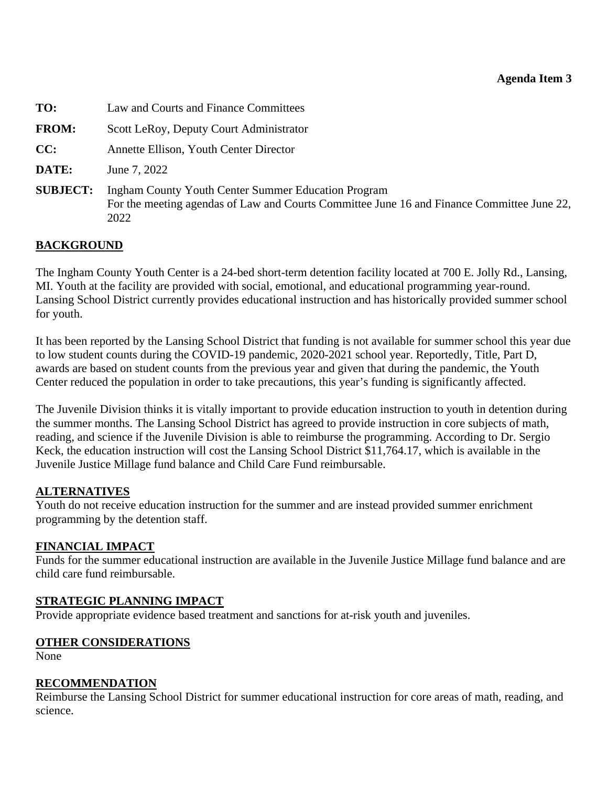#### **Agenda Item 3**

<span id="page-15-0"></span>**TO:** Law and Courts and Finance Committees

**FROM:** Scott LeRoy, Deputy Court Administrator

**CC:** Annette Ellison, Youth Center Director

**DATE:** June 7, 2022

**SUBJECT:** Ingham County Youth Center Summer Education Program For the meeting agendas of Law and Courts Committee June 16 and Finance Committee June 22, 2022

#### **BACKGROUND**

The Ingham County Youth Center is a 24-bed short-term detention facility located at 700 E. Jolly Rd., Lansing, MI. Youth at the facility are provided with social, emotional, and educational programming year-round. Lansing School District currently provides educational instruction and has historically provided summer school for youth.

It has been reported by the Lansing School District that funding is not available for summer school this year due to low student counts during the COVID-19 pandemic, 2020-2021 school year. Reportedly, Title, Part D, awards are based on student counts from the previous year and given that during the pandemic, the Youth Center reduced the population in order to take precautions, this year's funding is significantly affected.

The Juvenile Division thinks it is vitally important to provide education instruction to youth in detention during the summer months. The Lansing School District has agreed to provide instruction in core subjects of math, reading, and science if the Juvenile Division is able to reimburse the programming. According to Dr. Sergio Keck, the education instruction will cost the Lansing School District \$11,764.17, which is available in the Juvenile Justice Millage fund balance and Child Care Fund reimbursable.

#### **ALTERNATIVES**

Youth do not receive education instruction for the summer and are instead provided summer enrichment programming by the detention staff.

#### **FINANCIAL IMPACT**

Funds for the summer educational instruction are available in the Juvenile Justice Millage fund balance and are child care fund reimbursable.

#### **STRATEGIC PLANNING IMPACT**

Provide appropriate evidence based treatment and sanctions for at-risk youth and juveniles.

#### **OTHER CONSIDERATIONS**

None

#### **RECOMMENDATION**

Reimburse the Lansing School District for summer educational instruction for core areas of math, reading, and science.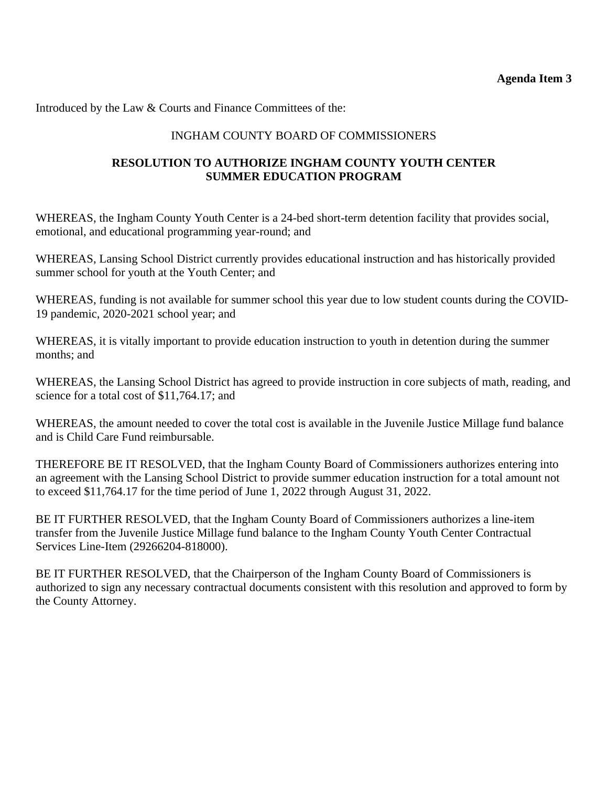Introduced by the Law & Courts and Finance Committees of the:

# INGHAM COUNTY BOARD OF COMMISSIONERS

# **RESOLUTION TO AUTHORIZE INGHAM COUNTY YOUTH CENTER SUMMER EDUCATION PROGRAM**

WHEREAS, the Ingham County Youth Center is a 24-bed short-term detention facility that provides social, emotional, and educational programming year-round; and

WHEREAS, Lansing School District currently provides educational instruction and has historically provided summer school for youth at the Youth Center; and

WHEREAS, funding is not available for summer school this year due to low student counts during the COVID-19 pandemic, 2020-2021 school year; and

WHEREAS, it is vitally important to provide education instruction to youth in detention during the summer months; and

WHEREAS, the Lansing School District has agreed to provide instruction in core subjects of math, reading, and science for a total cost of \$11,764.17; and

WHEREAS, the amount needed to cover the total cost is available in the Juvenile Justice Millage fund balance and is Child Care Fund reimbursable.

THEREFORE BE IT RESOLVED, that the Ingham County Board of Commissioners authorizes entering into an agreement with the Lansing School District to provide summer education instruction for a total amount not to exceed \$11,764.17 for the time period of June 1, 2022 through August 31, 2022.

BE IT FURTHER RESOLVED, that the Ingham County Board of Commissioners authorizes a line-item transfer from the Juvenile Justice Millage fund balance to the Ingham County Youth Center Contractual Services Line-Item (29266204-818000).

BE IT FURTHER RESOLVED, that the Chairperson of the Ingham County Board of Commissioners is authorized to sign any necessary contractual documents consistent with this resolution and approved to form by the County Attorney.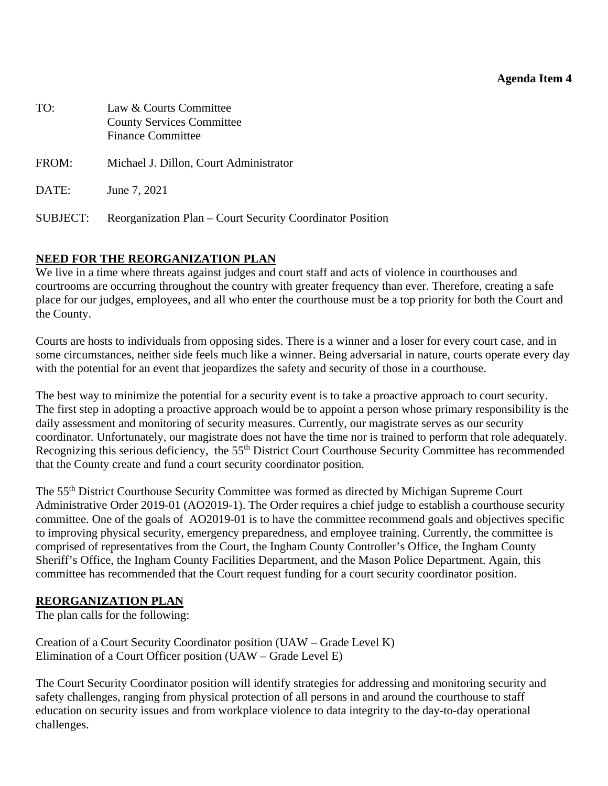#### **Agenda Item 4**

<span id="page-17-0"></span>

| TO:      | Law & Courts Committee<br><b>County Services Committee</b><br><b>Finance Committee</b> |
|----------|----------------------------------------------------------------------------------------|
| FROM:    | Michael J. Dillon, Court Administrator                                                 |
| DATE:    | June 7, 2021                                                                           |
| SUBJECT: | Reorganization Plan – Court Security Coordinator Position                              |

#### **NEED FOR THE REORGANIZATION PLAN**

We live in a time where threats against judges and court staff and acts of violence in courthouses and courtrooms are occurring throughout the country with greater frequency than ever. Therefore, creating a safe place for our judges, employees, and all who enter the courthouse must be a top priority for both the Court and the County.

Courts are hosts to individuals from opposing sides. There is a winner and a loser for every court case, and in some circumstances, neither side feels much like a winner. Being adversarial in nature, courts operate every day with the potential for an event that jeopardizes the safety and security of those in a courthouse.

The best way to minimize the potential for a security event is to take a proactive approach to court security. The first step in adopting a proactive approach would be to appoint a person whose primary responsibility is the daily assessment and monitoring of security measures. Currently, our magistrate serves as our security coordinator. Unfortunately, our magistrate does not have the time nor is trained to perform that role adequately. Recognizing this serious deficiency, the 55<sup>th</sup> District Court Courthouse Security Committee has recommended that the County create and fund a court security coordinator position.

The 55th District Courthouse Security Committee was formed as directed by Michigan Supreme Court Administrative Order 2019-01 (AO2019-1). The Order requires a chief judge to establish a courthouse security committee. One of the goals of AO2019-01 is to have the committee recommend goals and objectives specific to improving physical security, emergency preparedness, and employee training. Currently, the committee is comprised of representatives from the Court, the Ingham County Controller's Office, the Ingham County Sheriff's Office, the Ingham County Facilities Department, and the Mason Police Department. Again, this committee has recommended that the Court request funding for a court security coordinator position.

#### **REORGANIZATION PLAN**

The plan calls for the following:

Creation of a Court Security Coordinator position (UAW – Grade Level K) Elimination of a Court Officer position (UAW – Grade Level E)

The Court Security Coordinator position will identify strategies for addressing and monitoring security and safety challenges, ranging from physical protection of all persons in and around the courthouse to staff education on security issues and from workplace violence to data integrity to the day-to-day operational challenges.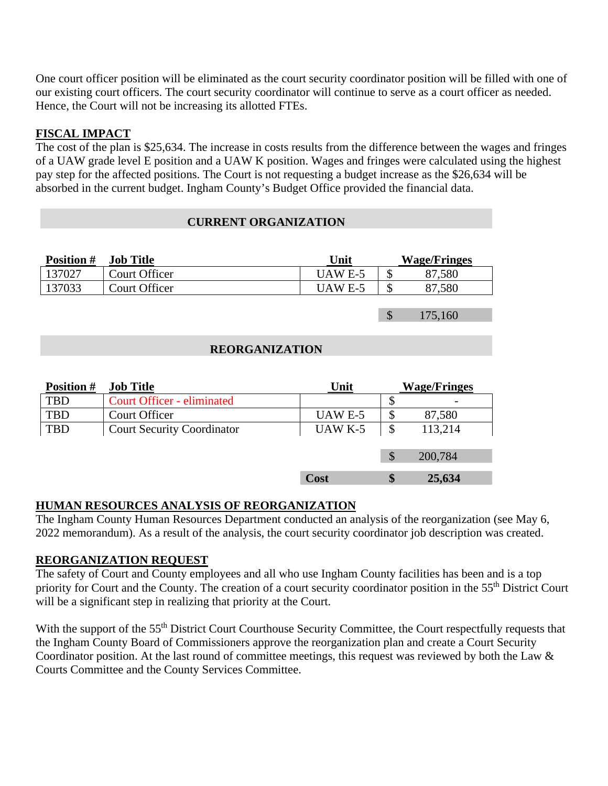One court officer position will be eliminated as the court security coordinator position will be filled with one of our existing court officers. The court security coordinator will continue to serve as a court officer as needed. Hence, the Court will not be increasing its allotted FTEs.

# **FISCAL IMPACT**

The cost of the plan is \$25,634. The increase in costs results from the difference between the wages and fringes of a UAW grade level E position and a UAW K position. Wages and fringes were calculated using the highest pay step for the affected positions. The Court is not requesting a budget increase as the \$26,634 will be absorbed in the current budget. Ingham County's Budget Office provided the financial data.

#### **CURRENT ORGANIZATION**

| <b>Position #</b>     | <b>Job Title</b>                  | Unit    |               | <b>Wage/Fringes</b> |
|-----------------------|-----------------------------------|---------|---------------|---------------------|
| 137027                | <b>Court Officer</b>              | UAW E-5 | \$            | 87,580              |
| 137033                | Court Officer                     | UAW E-5 | \$            | 87,580              |
|                       |                                   |         |               |                     |
|                       |                                   |         | \$            | 175,160             |
|                       |                                   |         |               |                     |
| <b>REORGANIZATION</b> |                                   |         |               |                     |
|                       |                                   |         |               |                     |
| <b>Position #</b>     | <b>Job Title</b>                  | Unit    |               | <b>Wage/Fringes</b> |
| <b>TBD</b>            | <b>Court Officer - eliminated</b> |         | \$            |                     |
| <b>TBD</b>            | Court Officer                     | UAW E-5 | \$            | 87,580              |
| <b>TBD</b>            | <b>Court Security Coordinator</b> | UAW K-5 | $\mathcal{S}$ | 113,214             |

\$ 200,784

**Cost \$ 25,634**

#### **HUMAN RESOURCES ANALYSIS OF REORGANIZATION**

The Ingham County Human Resources Department conducted an analysis of the reorganization (see May 6, 2022 memorandum). As a result of the analysis, the court security coordinator job description was created.

#### **REORGANIZATION REQUEST**

The safety of Court and County employees and all who use Ingham County facilities has been and is a top priority for Court and the County. The creation of a court security coordinator position in the 55<sup>th</sup> District Court will be a significant step in realizing that priority at the Court.

With the support of the 55<sup>th</sup> District Court Courthouse Security Committee, the Court respectfully requests that the Ingham County Board of Commissioners approve the reorganization plan and create a Court Security Coordinator position. At the last round of committee meetings, this request was reviewed by both the Law & Courts Committee and the County Services Committee.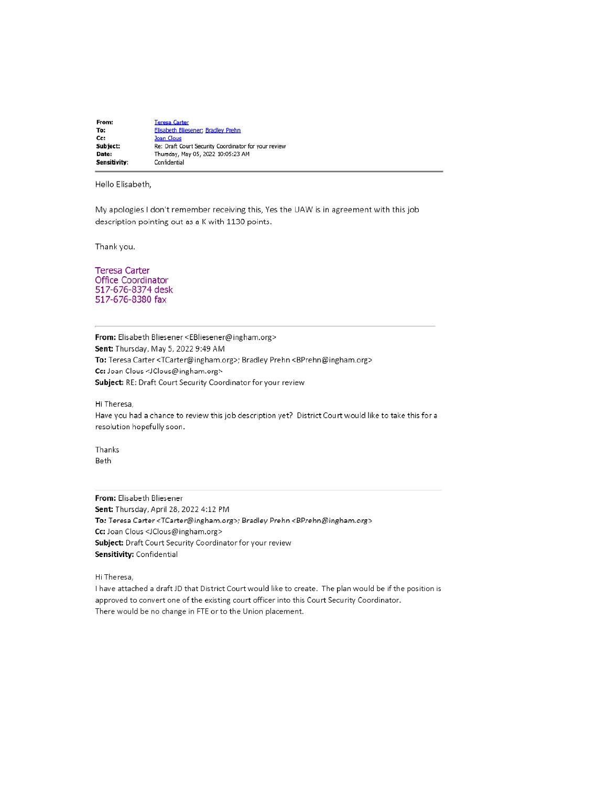From: **Teresa Carter Elisabeth Bliese** er; Bradley Prehn To: **Joan Clous** Cc: Re: Draft Court Security Coordinator for your review Subject: Date: Thursday, May 05, 2022 10:05:23 AM Sensitivity: Confidential

Hello Elisabeth,

My apologies I don't remember receiving this, Yes the UAW is in agreement with this job description pointing out as a K with 1130 points.

Thank you.

**Teresa Carter** Office Coordinator 517-676-8374 desk 517-676-8380 fax

From: Elisabeth Bliesener <EBliesener@ingham.org> Sent: Thursday, May 5, 2022 9:49 AM To: Teresa Carter <TCarter@ingham.org>; Bradley Prehn <BPrehn@ingham.org> Cc: Joan Clous <JClous@ingham.org> Subject: RE: Draft Court Security Coordinator for your review

Hi Theresa,

Have you had a chance to review this job description yet? District Court would like to take this for a resolution hopefully soon.

Thanks **Beth** 

From: Elisabeth Bliesener Sent: Thursday, April 28, 2022 4:12 PM To: Teresa Carter <TCarter@ingham.org>; Bradley Prehn <BPrehn@ingham.org> Cc: Joan Clous <JClous@ingham.org> Subject: Draft Court Security Coordinator for your review Sensitivity: Confidential

Hi Theresa.

I have attached a draft JD that District Court would like to create. The plan would be if the position is approved to convert one of the existing court officer into this Court Security Coordinator. There would be no change in FTE or to the Union placement.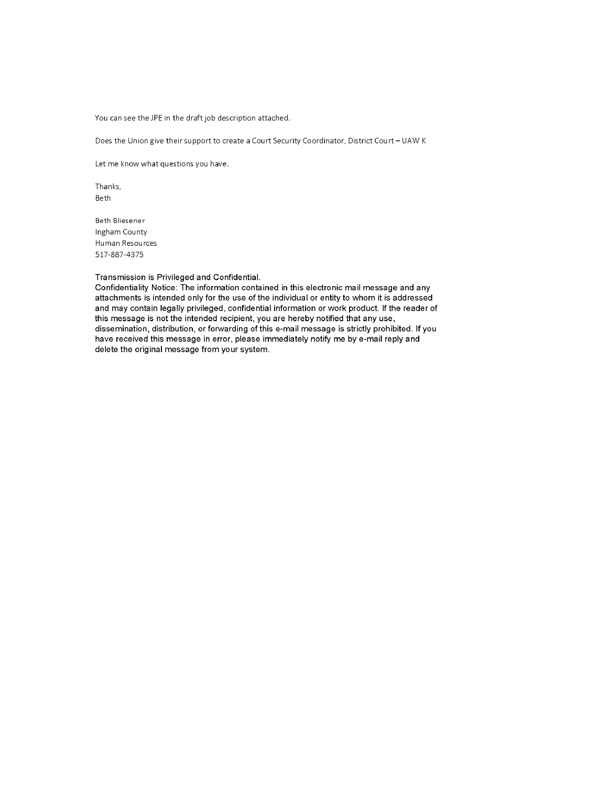You can see the JPE in the draft job description attached.

Does the Union give their support to create a Court Security Coordinator, District Court - UAW K

Let me know what questions you have.

Thanks, Beth

**Beth Bliesener** Ingham County Human Resources 517-887-4375

#### Transmission is Privileged and Confidential.

Confidentiality Notice: The information contained in this electronic mail message and any attachments is intended only for the use of the individual or entity to whom it is addressed and may contain legally privileged, confidential information or work product. If the reader of this message is not the intended recipient, you are hereby notified that any use, dissemination, distribution, or forwarding of this e-mail message is strictly prohibited. If you have received this message in error, please immediately notify me by e-mail reply and delete the original message from your system.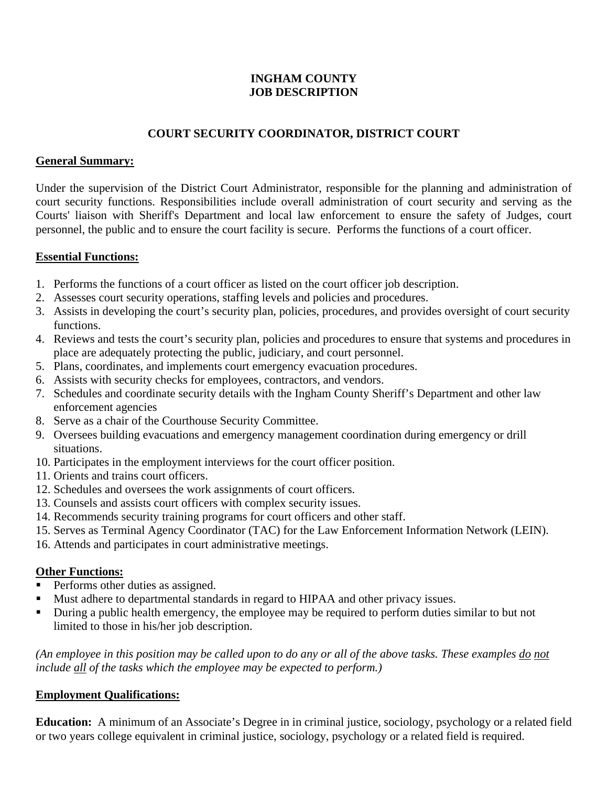#### **INGHAM COUNTY JOB DESCRIPTION**

# **COURT SECURITY COORDINATOR, DISTRICT COURT**

#### **General Summary:**

Under the supervision of the District Court Administrator, responsible for the planning and administration of court security functions. Responsibilities include overall administration of court security and serving as the Courts' liaison with Sheriff's Department and local law enforcement to ensure the safety of Judges, court personnel, the public and to ensure the court facility is secure. Performs the functions of a court officer.

#### **Essential Functions:**

- 1. Performs the functions of a court officer as listed on the court officer job description.
- 2. Assesses court security operations, staffing levels and policies and procedures.
- 3. Assists in developing the court's security plan, policies, procedures, and provides oversight of court security functions.
- 4. Reviews and tests the court's security plan, policies and procedures to ensure that systems and procedures in place are adequately protecting the public, judiciary, and court personnel.
- 5. Plans, coordinates, and implements court emergency evacuation procedures.
- 6. Assists with security checks for employees, contractors, and vendors.
- 7. Schedules and coordinate security details with the Ingham County Sheriff's Department and other law enforcement agencies
- 8. Serve as a chair of the Courthouse Security Committee.
- 9. Oversees building evacuations and emergency management coordination during emergency or drill situations.
- 10. Participates in the employment interviews for the court officer position.
- 11. Orients and trains court officers.
- 12. Schedules and oversees the work assignments of court officers.
- 13. Counsels and assists court officers with complex security issues.
- 14. Recommends security training programs for court officers and other staff.
- 15. Serves as Terminal Agency Coordinator (TAC) for the Law Enforcement Information Network (LEIN).
- 16. Attends and participates in court administrative meetings.

#### **Other Functions:**

- **Performs other duties as assigned.**
- Must adhere to departmental standards in regard to HIPAA and other privacy issues.
- During a public health emergency, the employee may be required to perform duties similar to but not limited to those in his/her job description.

*(An employee in this position may be called upon to do any or all of the above tasks. These examples do not include all of the tasks which the employee may be expected to perform.)* 

#### **Employment Qualifications:**

**Education:** A minimum of an Associate's Degree in in criminal justice, sociology, psychology or a related field or two years college equivalent in criminal justice, sociology, psychology or a related field is required.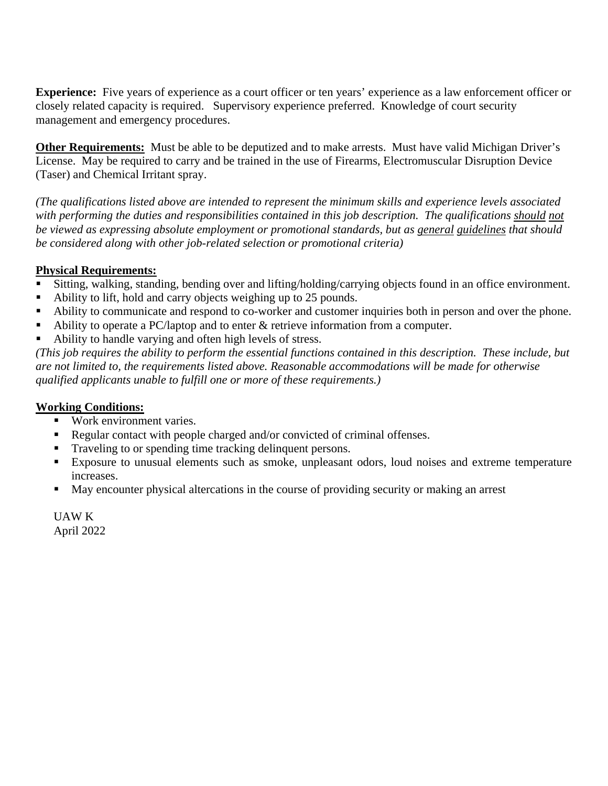**Experience:** Five years of experience as a court officer or ten years' experience as a law enforcement officer or closely related capacity is required. Supervisory experience preferred. Knowledge of court security management and emergency procedures.

**Other Requirements:** Must be able to be deputized and to make arrests. Must have valid Michigan Driver's License. May be required to carry and be trained in the use of Firearms, Electromuscular Disruption Device (Taser) and Chemical Irritant spray.

*(The qualifications listed above are intended to represent the minimum skills and experience levels associated*  with performing the duties and responsibilities contained in this job description. The qualifications should not *be viewed as expressing absolute employment or promotional standards, but as general guidelines that should be considered along with other job-related selection or promotional criteria)* 

# **Physical Requirements:**

- Sitting, walking, standing, bending over and lifting/holding/carrying objects found in an office environment.
- Ability to lift, hold and carry objects weighing up to 25 pounds.
- Ability to communicate and respond to co-worker and customer inquiries both in person and over the phone.
- Ability to operate a PC/laptop and to enter & retrieve information from a computer.
- Ability to handle varying and often high levels of stress.

*(This job requires the ability to perform the essential functions contained in this description. These include, but are not limited to, the requirements listed above. Reasonable accommodations will be made for otherwise qualified applicants unable to fulfill one or more of these requirements.)*

#### **Working Conditions:**

- Work environment varies.
- Regular contact with people charged and/or convicted of criminal offenses.
- Traveling to or spending time tracking delinquent persons.
- Exposure to unusual elements such as smoke, unpleasant odors, loud noises and extreme temperature increases.
- May encounter physical altercations in the course of providing security or making an arrest

UAW K April 2022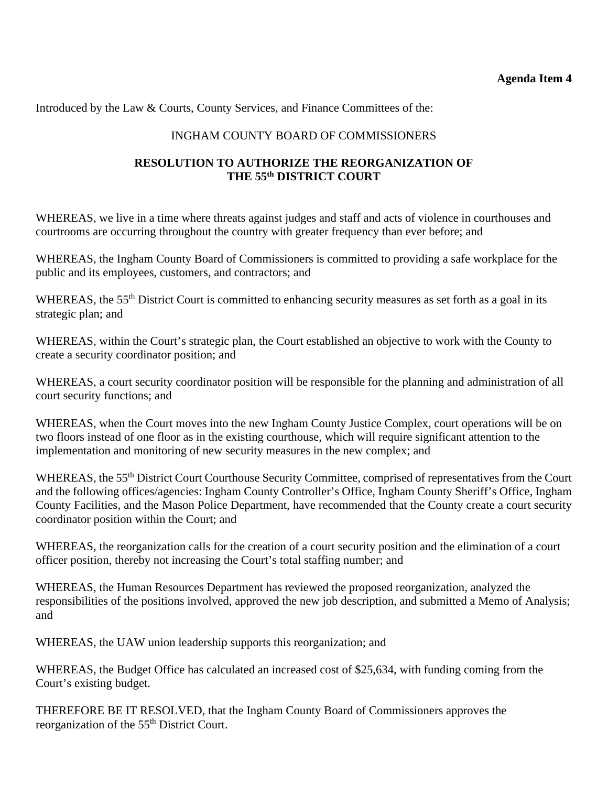Introduced by the Law & Courts, County Services, and Finance Committees of the:

# INGHAM COUNTY BOARD OF COMMISSIONERS

# **RESOLUTION TO AUTHORIZE THE REORGANIZATION OF THE 55th DISTRICT COURT**

WHEREAS, we live in a time where threats against judges and staff and acts of violence in courthouses and courtrooms are occurring throughout the country with greater frequency than ever before; and

WHEREAS, the Ingham County Board of Commissioners is committed to providing a safe workplace for the public and its employees, customers, and contractors; and

WHEREAS, the 55<sup>th</sup> District Court is committed to enhancing security measures as set forth as a goal in its strategic plan; and

WHEREAS, within the Court's strategic plan, the Court established an objective to work with the County to create a security coordinator position; and

WHEREAS, a court security coordinator position will be responsible for the planning and administration of all court security functions; and

WHEREAS, when the Court moves into the new Ingham County Justice Complex, court operations will be on two floors instead of one floor as in the existing courthouse, which will require significant attention to the implementation and monitoring of new security measures in the new complex; and

WHEREAS, the 55<sup>th</sup> District Court Courthouse Security Committee, comprised of representatives from the Court and the following offices/agencies: Ingham County Controller's Office, Ingham County Sheriff's Office, Ingham County Facilities, and the Mason Police Department, have recommended that the County create a court security coordinator position within the Court; and

WHEREAS, the reorganization calls for the creation of a court security position and the elimination of a court officer position, thereby not increasing the Court's total staffing number; and

WHEREAS, the Human Resources Department has reviewed the proposed reorganization, analyzed the responsibilities of the positions involved, approved the new job description, and submitted a Memo of Analysis; and

WHEREAS, the UAW union leadership supports this reorganization; and

WHEREAS, the Budget Office has calculated an increased cost of \$25,634, with funding coming from the Court's existing budget.

THEREFORE BE IT RESOLVED, that the Ingham County Board of Commissioners approves the reorganization of the 55<sup>th</sup> District Court.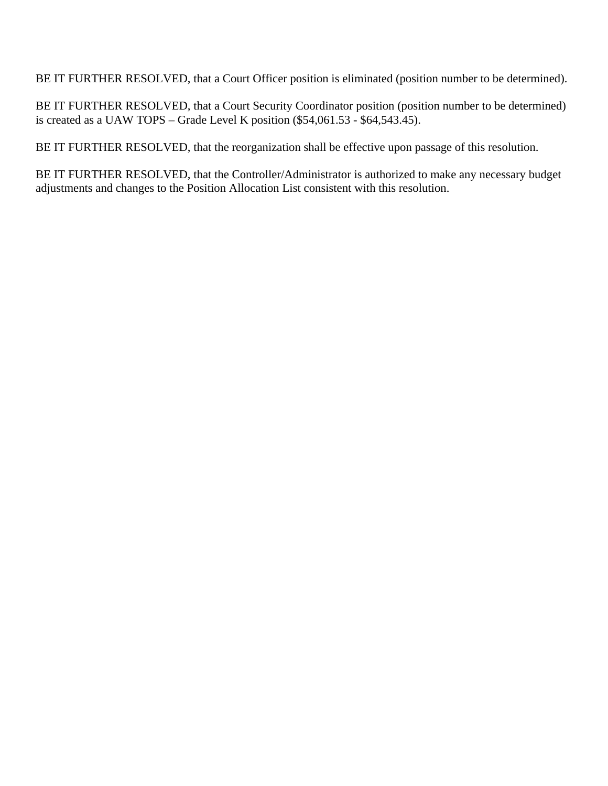BE IT FURTHER RESOLVED, that a Court Officer position is eliminated (position number to be determined).

BE IT FURTHER RESOLVED, that a Court Security Coordinator position (position number to be determined) is created as a UAW TOPS – Grade Level K position  $(\$54,061.53 - \$64,543.45)$ .

BE IT FURTHER RESOLVED, that the reorganization shall be effective upon passage of this resolution.

BE IT FURTHER RESOLVED, that the Controller/Administrator is authorized to make any necessary budget adjustments and changes to the Position Allocation List consistent with this resolution.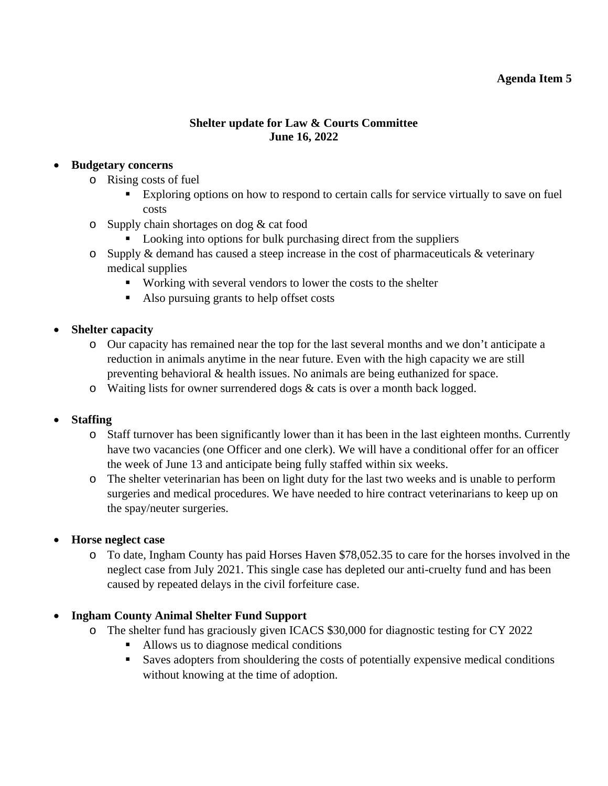#### **Agenda Item 5**

#### **Shelter update for Law & Courts Committee June 16, 2022**

#### <span id="page-25-0"></span>**Budgetary concerns**

- o Rising costs of fuel
	- Exploring options on how to respond to certain calls for service virtually to save on fuel costs
- o Supply chain shortages on dog & cat food
	- Looking into options for bulk purchasing direct from the suppliers
- $\circ$  Supply & demand has caused a steep increase in the cost of pharmaceuticals & veterinary medical supplies
	- Working with several vendors to lower the costs to the shelter
	- Also pursuing grants to help offset costs

# **Shelter capacity**

- o Our capacity has remained near the top for the last several months and we don't anticipate a reduction in animals anytime in the near future. Even with the high capacity we are still preventing behavioral & health issues. No animals are being euthanized for space.
- $\circ$  Waiting lists for owner surrendered dogs & cats is over a month back logged.

# **Staffing**

- o Staff turnover has been significantly lower than it has been in the last eighteen months. Currently have two vacancies (one Officer and one clerk). We will have a conditional offer for an officer the week of June 13 and anticipate being fully staffed within six weeks.
- o The shelter veterinarian has been on light duty for the last two weeks and is unable to perform surgeries and medical procedures. We have needed to hire contract veterinarians to keep up on the spay/neuter surgeries.

#### **Horse neglect case**

o To date, Ingham County has paid Horses Haven \$78,052.35 to care for the horses involved in the neglect case from July 2021. This single case has depleted our anti-cruelty fund and has been caused by repeated delays in the civil forfeiture case.

#### **Ingham County Animal Shelter Fund Support**

- o The shelter fund has graciously given ICACS \$30,000 for diagnostic testing for CY 2022
	- Allows us to diagnose medical conditions
	- Saves adopters from shouldering the costs of potentially expensive medical conditions without knowing at the time of adoption.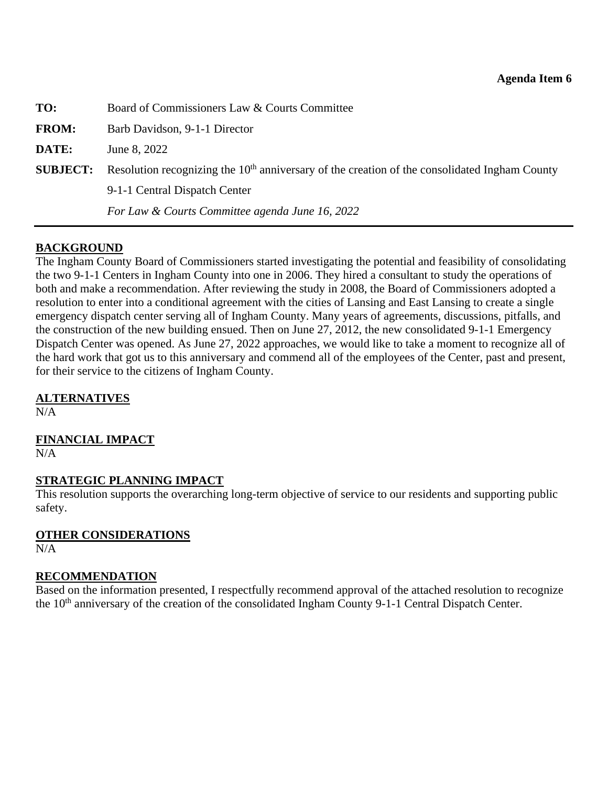<span id="page-26-0"></span>

| TO:             | Board of Commissioners Law & Courts Committee                                                   |
|-----------------|-------------------------------------------------------------------------------------------------|
| <b>FROM:</b>    | Barb Davidson, 9-1-1 Director                                                                   |
| DATE:           | June 8, 2022                                                                                    |
| <b>SUBJECT:</b> | Resolution recognizing the $10th$ anniversary of the creation of the consolidated Ingham County |
|                 | 9-1-1 Central Dispatch Center                                                                   |
|                 | For Law & Courts Committee agenda June 16, 2022                                                 |

#### **BACKGROUND**

The Ingham County Board of Commissioners started investigating the potential and feasibility of consolidating the two 9-1-1 Centers in Ingham County into one in 2006. They hired a consultant to study the operations of both and make a recommendation. After reviewing the study in 2008, the Board of Commissioners adopted a resolution to enter into a conditional agreement with the cities of Lansing and East Lansing to create a single emergency dispatch center serving all of Ingham County. Many years of agreements, discussions, pitfalls, and the construction of the new building ensued. Then on June 27, 2012, the new consolidated 9-1-1 Emergency Dispatch Center was opened. As June 27, 2022 approaches, we would like to take a moment to recognize all of the hard work that got us to this anniversary and commend all of the employees of the Center, past and present, for their service to the citizens of Ingham County.

#### **ALTERNATIVES**

 $N/A$ 

# **FINANCIAL IMPACT**

 $N/A$ 

#### **STRATEGIC PLANNING IMPACT**

This resolution supports the overarching long-term objective of service to our residents and supporting public safety.

#### **OTHER CONSIDERATIONS**

 $N/A$ 

#### **RECOMMENDATION**

Based on the information presented, I respectfully recommend approval of the attached resolution to recognize the 10<sup>th</sup> anniversary of the creation of the consolidated Ingham County 9-1-1 Central Dispatch Center.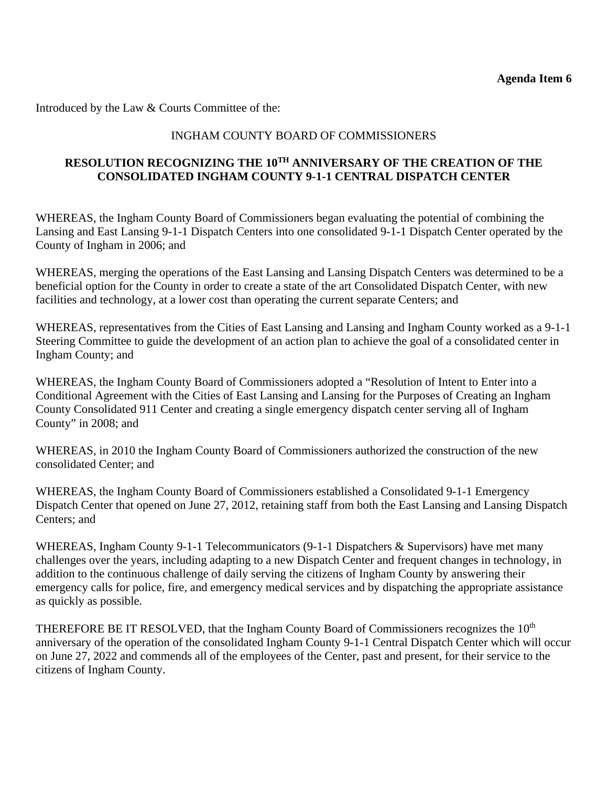Introduced by the Law & Courts Committee of the:

# INGHAM COUNTY BOARD OF COMMISSIONERS

# **RESOLUTION RECOGNIZING THE 10TH ANNIVERSARY OF THE CREATION OF THE CONSOLIDATED INGHAM COUNTY 9-1-1 CENTRAL DISPATCH CENTER**

WHEREAS, the Ingham County Board of Commissioners began evaluating the potential of combining the Lansing and East Lansing 9-1-1 Dispatch Centers into one consolidated 9-1-1 Dispatch Center operated by the County of Ingham in 2006; and

WHEREAS, merging the operations of the East Lansing and Lansing Dispatch Centers was determined to be a beneficial option for the County in order to create a state of the art Consolidated Dispatch Center, with new facilities and technology, at a lower cost than operating the current separate Centers; and

WHEREAS, representatives from the Cities of East Lansing and Lansing and Ingham County worked as a 9-1-1 Steering Committee to guide the development of an action plan to achieve the goal of a consolidated center in Ingham County; and

WHEREAS, the Ingham County Board of Commissioners adopted a "Resolution of Intent to Enter into a Conditional Agreement with the Cities of East Lansing and Lansing for the Purposes of Creating an Ingham County Consolidated 911 Center and creating a single emergency dispatch center serving all of Ingham County" in 2008; and

WHEREAS, in 2010 the Ingham County Board of Commissioners authorized the construction of the new consolidated Center; and

WHEREAS, the Ingham County Board of Commissioners established a Consolidated 9-1-1 Emergency Dispatch Center that opened on June 27, 2012, retaining staff from both the East Lansing and Lansing Dispatch Centers; and

WHEREAS, Ingham County 9-1-1 Telecommunicators (9-1-1 Dispatchers & Supervisors) have met many challenges over the years, including adapting to a new Dispatch Center and frequent changes in technology, in addition to the continuous challenge of daily serving the citizens of Ingham County by answering their emergency calls for police, fire, and emergency medical services and by dispatching the appropriate assistance as quickly as possible.

THEREFORE BE IT RESOLVED, that the Ingham County Board of Commissioners recognizes the 10<sup>th</sup> anniversary of the operation of the consolidated Ingham County 9-1-1 Central Dispatch Center which will occur on June 27, 2022 and commends all of the employees of the Center, past and present, for their service to the citizens of Ingham County.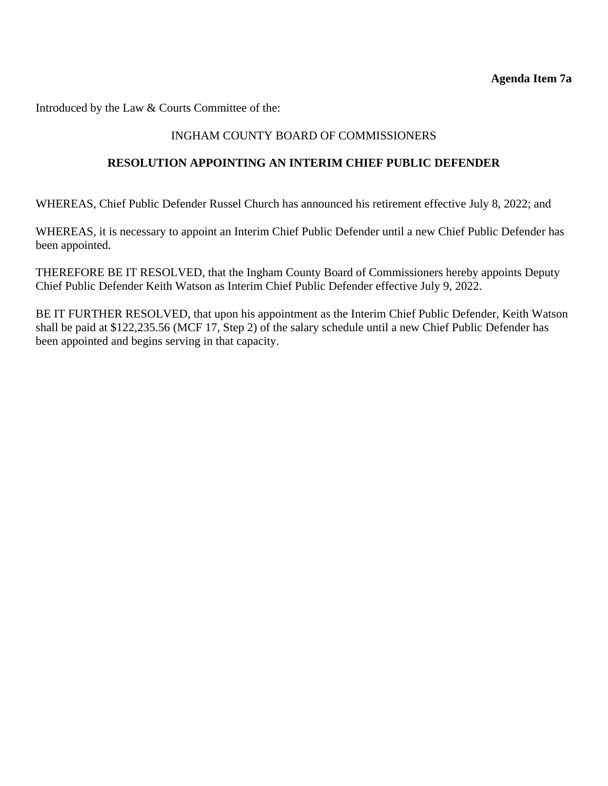<span id="page-28-0"></span>Introduced by the Law & Courts Committee of the:

#### INGHAM COUNTY BOARD OF COMMISSIONERS

#### **RESOLUTION APPOINTING AN INTERIM CHIEF PUBLIC DEFENDER**

WHEREAS, Chief Public Defender Russel Church has announced his retirement effective July 8, 2022; and

WHEREAS, it is necessary to appoint an Interim Chief Public Defender until a new Chief Public Defender has been appointed.

THEREFORE BE IT RESOLVED, that the Ingham County Board of Commissioners hereby appoints Deputy Chief Public Defender Keith Watson as Interim Chief Public Defender effective July 9, 2022.

BE IT FURTHER RESOLVED, that upon his appointment as the Interim Chief Public Defender, Keith Watson shall be paid at \$122,235.56 (MCF 17, Step 2) of the salary schedule until a new Chief Public Defender has been appointed and begins serving in that capacity.